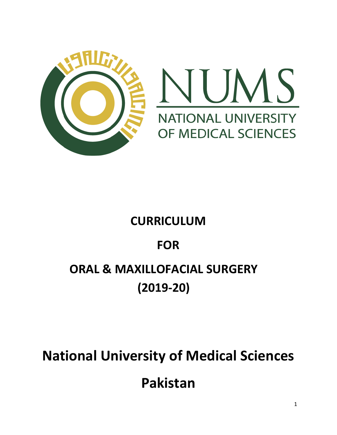



# **CURRICULUM**

# **FOR**

# **ORAL & MAXILLOFACIAL SURGERY (2019-20)**

# **National University of Medical Sciences Pakistan**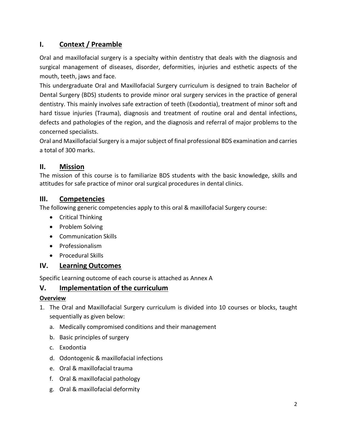# **I. Context / Preamble**

Oral and maxillofacial surgery is a specialty within dentistry that deals with the diagnosis and surgical management of diseases, disorder, deformities, injuries and esthetic aspects of the mouth, teeth, jaws and face.

This undergraduate Oral and Maxillofacial Surgery curriculum is designed to train Bachelor of Dental Surgery (BDS) students to provide minor oral surgery services in the practice of general dentistry. This mainly involves safe extraction of teeth (Exodontia), treatment of minor soft and hard tissue injuries (Trauma), diagnosis and treatment of routine oral and dental infections, defects and pathologies of the region, and the diagnosis and referral of major problems to the concerned specialists.

Oral and Maxillofacial Surgery is a major subject of final professional BDS examination and carries a total of 300 marks.

# **II. Mission**

The mission of this course is to familiarize BDS students with the basic knowledge, skills and attitudes for safe practice of minor oral surgical procedures in dental clinics.

# **III. Competencies**

The following generic competencies apply to this oral & maxillofacial Surgery course:

- Critical Thinking
- Problem Solving
- Communication Skills
- **•** Professionalism
- Procedural Skills

# **IV. Learning Outcomes**

Specific Learning outcome of each course is attached as Annex A

# **V. Implementation of the curriculum**

## **Overview**

- 1. The Oral and Maxillofacial Surgery curriculum is divided into 10 courses or blocks, taught sequentially as given below:
	- a. Medically compromised conditions and their management
	- b. Basic principles of surgery
	- c. Exodontia
	- d. Odontogenic & maxillofacial infections
	- e. Oral & maxillofacial trauma
	- f. Oral & maxillofacial pathology
	- g. Oral & maxillofacial deformity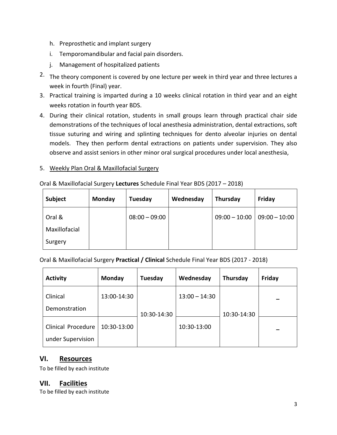- h. Preprosthetic and implant surgery
- i. Temporomandibular and facial pain disorders.
- j. Management of hospitalized patients
- 2. The theory component is covered by one lecture per week in third year and three lectures a week in fourth (Final) year.
- 3. Practical training is imparted during a 10 weeks clinical rotation in third year and an eight weeks rotation in fourth year BDS.
- 4. During their clinical rotation, students in small groups learn through practical chair side demonstrations of the techniques of local anesthesia administration, dental extractions, soft tissue suturing and wiring and splinting techniques for dento alveolar injuries on dental models. They then perform dental extractions on patients under supervision. They also observe and assist seniors in other minor oral surgical procedures under local anesthesia,

#### 5. Weekly Plan Oral & Maxillofacial Surgery

| Subject       | Monday | Tuesday         | Wednesday | Thursday        | Friday          |
|---------------|--------|-----------------|-----------|-----------------|-----------------|
| Oral &        |        | $08:00 - 09:00$ |           | $09:00 - 10:00$ | $09:00 - 10:00$ |
| Maxillofacial |        |                 |           |                 |                 |
| Surgery       |        |                 |           |                 |                 |

Oral & Maxillofacial Surgery **Lectures** Schedule Final Year BDS (2017 – 2018)

Oral & Maxillofacial Surgery **Practical / Clinical** Schedule Final Year BDS (2017 - 2018)

| <b>Activity</b>                         | Monday      | Tuesday     | Wednesday       | Thursday    | Friday |
|-----------------------------------------|-------------|-------------|-----------------|-------------|--------|
| Clinical                                | 13:00-14:30 |             | $13:00 - 14:30$ |             |        |
| Demonstration                           |             | 10:30-14:30 |                 | 10:30-14:30 |        |
| Clinical Procedure<br>under Supervision | 10:30-13:00 |             | 10:30-13:00     |             |        |

# **VI. Resources**

To be filled by each institute

## **VII. Facilities**

To be filled by each institute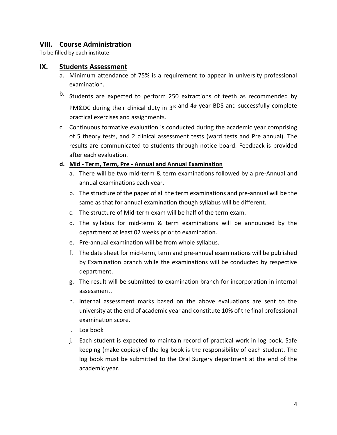## **VIII. Course Administration**

To be filled by each institute

#### **IX. Students Assessment**

- a. Minimum attendance of 75% is a requirement to appear in university professional examination.
- b. Students are expected to perform 250 extractions of teeth as recommended by PM&DC during their clinical duty in 3rd and 4th year BDS and successfully complete practical exercises and assignments.
- c. Continuous formative evaluation is conducted during the academic year comprising of 5 theory tests, and 2 clinical assessment tests (ward tests and Pre annual). The results are communicated to students through notice board. Feedback is provided after each evaluation.

#### **d. Mid - Term, Term, Pre - Annual and Annual Examination**

- a. There will be two mid-term & term examinations followed by a pre-Annual and annual examinations each year.
- b. The structure of the paper of all the term examinations and pre-annual will be the same as that for annual examination though syllabus will be different.
- c. The structure of Mid-term exam will be half of the term exam.
- d. The syllabus for mid-term & term examinations will be announced by the department at least 02 weeks prior to examination.
- e. Pre-annual examination will be from whole syllabus.
- f. The date sheet for mid-term, term and pre-annual examinations will be published by Examination branch while the examinations will be conducted by respective department.
- g. The result will be submitted to examination branch for incorporation in internal assessment.
- h. Internal assessment marks based on the above evaluations are sent to the university at the end of academic year and constitute 10% of the final professional examination score.
- i. Log book
- j. Each student is expected to maintain record of practical work in log book. Safe keeping (make copies) of the log book is the responsibility of each student. The log book must be submitted to the Oral Surgery department at the end of the academic year.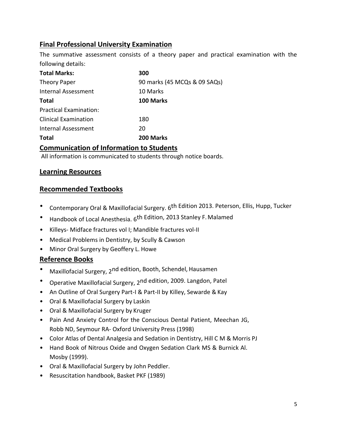# **Final Professional University Examination**

The summative assessment consists of a theory paper and practical examination with the following details:

| <b>Total Marks:</b>           | 300                          |
|-------------------------------|------------------------------|
| Theory Paper                  | 90 marks (45 MCQs & 09 SAQs) |
| <b>Internal Assessment</b>    | 10 Marks                     |
| <b>Total</b>                  | 100 Marks                    |
| <b>Practical Examination:</b> |                              |
| <b>Clinical Examination</b>   | 180                          |
| <b>Internal Assessment</b>    | 20                           |
| <b>Total</b>                  | 200 Marks                    |

## **Communication of Information to Students**

All information is communicated to students through notice boards.

## **Learning Resources**

## **Recommended Textbooks**

- Contemporary Oral & Maxillofacial Surgery. 6th Edition 2013. Peterson, Ellis, Hupp, Tucker
- Handbook of Local Anesthesia. 6<sup>th Edition, 2013 Stanley F. Malamed</sup>
- Killeys- Midface fractures vol I; Mandible fractures vol-II
- Medical Problems in Dentistry, by Scully & Cawson
- Minor Oral Surgery by Geoffery L. Howe

# **Reference Books**

- Maxillofacial Surgery, 2nd edition, Booth, Schendel, Hausamen
- Operative Maxillofacial Surgery, 2nd edition, 2009. Langdon, Patel
- An Outline of Oral Surgery Part-I & Part-II by Killey, Sewarde & Kay
- Oral & Maxillofacial Surgery by Laskin
- Oral & Maxillofacial Surgery by Kruger
- Pain And Anxiety Control for the Conscious Dental Patient, Meechan JG, Robb ND, Seymour RA- Oxford University Press (1998)
- Color Atlas of Dental Analgesia and Sedation in Dentistry, Hill C M & Morris PJ
- Hand Book of Nitrous Oxide and Oxygen Sedation Clark MS & Burnick Al. Mosby (1999).
- Oral & Maxillofacial Surgery by John Peddler.
- Resuscitation handbook, Basket PKF (1989)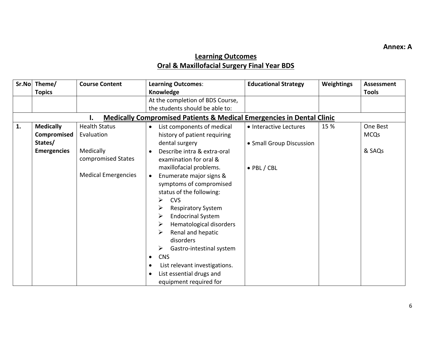**Annex: A**

# **Learning Outcomes Oral & Maxillofacial Surgery Final Year BDS**

| Sr.No | Theme/             | <b>Course Content</b>      | <b>Learning Outcomes:</b>                                                        | <b>Educational Strategy</b> | Weightings | <b>Assessment</b> |
|-------|--------------------|----------------------------|----------------------------------------------------------------------------------|-----------------------------|------------|-------------------|
|       | <b>Topics</b>      |                            | Knowledge                                                                        |                             |            | <b>Tools</b>      |
|       |                    |                            | At the completion of BDS Course,                                                 |                             |            |                   |
|       |                    |                            | the students should be able to:                                                  |                             |            |                   |
|       |                    | Ι.                         | <b>Medically Compromised Patients &amp; Medical Emergencies in Dental Clinic</b> |                             |            |                   |
| 1.    | <b>Medically</b>   | <b>Health Status</b>       | List components of medical<br>$\bullet$                                          | • Interactive Lectures      | 15 %       | One Best          |
|       | Compromised        | Evaluation                 | history of patient requiring                                                     |                             |            | <b>MCQs</b>       |
|       | States/            |                            | dental surgery                                                                   | • Small Group Discussion    |            |                   |
|       | <b>Emergencies</b> | Medically                  | Describe intra & extra-oral                                                      |                             |            | & SAQs            |
|       |                    | compromised States         | examination for oral &                                                           |                             |            |                   |
|       |                    |                            | maxillofacial problems.                                                          | $\bullet$ PBL / CBL         |            |                   |
|       |                    | <b>Medical Emergencies</b> | Enumerate major signs &<br>$\bullet$                                             |                             |            |                   |
|       |                    |                            | symptoms of compromised                                                          |                             |            |                   |
|       |                    |                            | status of the following:                                                         |                             |            |                   |
|       |                    |                            | ≻<br><b>CVS</b>                                                                  |                             |            |                   |
|       |                    |                            | ➤<br><b>Respiratory System</b>                                                   |                             |            |                   |
|       |                    |                            | <b>Endocrinal System</b><br>➤                                                    |                             |            |                   |
|       |                    |                            | Hematological disorders<br>➤                                                     |                             |            |                   |
|       |                    |                            | Renal and hepatic<br>⋗                                                           |                             |            |                   |
|       |                    |                            | disorders                                                                        |                             |            |                   |
|       |                    |                            | ➤<br>Gastro-intestinal system                                                    |                             |            |                   |
|       |                    |                            | <b>CNS</b><br>$\bullet$                                                          |                             |            |                   |
|       |                    |                            | List relevant investigations.                                                    |                             |            |                   |
|       |                    |                            | List essential drugs and                                                         |                             |            |                   |
|       |                    |                            | equipment required for                                                           |                             |            |                   |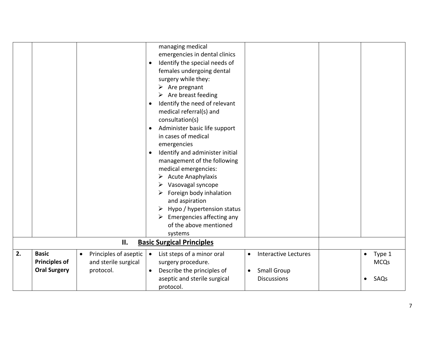|    |                      |                                    | managing medical<br>emergencies in dental clinics<br>Identify the special needs of<br>$\bullet$<br>females undergoing dental<br>surgery while they:<br>$\triangleright$ Are pregnant<br>$\triangleright$ Are breast feeding<br>Identify the need of relevant<br>$\bullet$<br>medical referral(s) and<br>consultation(s)<br>Administer basic life support<br>$\bullet$<br>in cases of medical<br>emergencies<br>Identify and administer initial<br>$\bullet$<br>management of the following<br>medical emergencies:<br>$\triangleright$ Acute Anaphylaxis<br>Vasovagal syncope<br>Foreign body inhalation<br>➤<br>and aspiration<br>Hypo / hypertension status<br>Emergencies affecting any<br>$\blacktriangleright$<br>of the above mentioned<br>systems |                                             |
|----|----------------------|------------------------------------|----------------------------------------------------------------------------------------------------------------------------------------------------------------------------------------------------------------------------------------------------------------------------------------------------------------------------------------------------------------------------------------------------------------------------------------------------------------------------------------------------------------------------------------------------------------------------------------------------------------------------------------------------------------------------------------------------------------------------------------------------------|---------------------------------------------|
|    |                      | II.                                | <b>Basic Surgical Principles</b>                                                                                                                                                                                                                                                                                                                                                                                                                                                                                                                                                                                                                                                                                                                         |                                             |
| 2. | <b>Basic</b>         | Principles of aseptic<br>$\bullet$ | List steps of a minor oral<br>$\bullet$<br>$\bullet$                                                                                                                                                                                                                                                                                                                                                                                                                                                                                                                                                                                                                                                                                                     | Interactive Lectures<br>Type 1<br>$\bullet$ |
|    | <b>Principles of</b> | and sterile surgical               | surgery procedure.                                                                                                                                                                                                                                                                                                                                                                                                                                                                                                                                                                                                                                                                                                                                       | <b>MCQs</b>                                 |
|    | <b>Oral Surgery</b>  | protocol.                          | Describe the principles of<br><b>Small Group</b><br>$\bullet$<br>$\bullet$                                                                                                                                                                                                                                                                                                                                                                                                                                                                                                                                                                                                                                                                               |                                             |
|    |                      |                                    | aseptic and sterile surgical<br><b>Discussions</b>                                                                                                                                                                                                                                                                                                                                                                                                                                                                                                                                                                                                                                                                                                       | SAQs                                        |
|    |                      |                                    | protocol.                                                                                                                                                                                                                                                                                                                                                                                                                                                                                                                                                                                                                                                                                                                                                |                                             |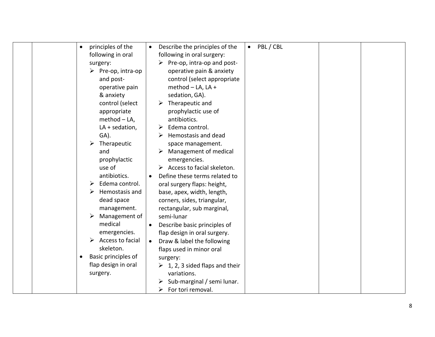| principles of the                 | $\bullet$ PBL/CBL<br>Describe the principles of the |
|-----------------------------------|-----------------------------------------------------|
| following in oral                 | following in oral surgery:                          |
|                                   | Pre-op, intra-op and post-                          |
| surgery:                          |                                                     |
| $\triangleright$ Pre-op, intra-op | operative pain & anxiety                            |
| and post-                         | control (select appropriate                         |
| operative pain                    | method - LA, LA +                                   |
| & anxiety                         | sedation, GA).                                      |
| control (select                   | Therapeutic and                                     |
| appropriate                       | prophylactic use of                                 |
| $method - LA$ ,                   | antibiotics.                                        |
| $LA + sedation,$                  | Edema control.                                      |
| GA).                              | Hemostasis and dead                                 |
| Therapeutic                       | space management.                                   |
| and                               | Management of medical                               |
| prophylactic                      | emergencies.                                        |
| use of                            | Access to facial skeleton.                          |
| antibiotics.                      | Define these terms related to<br>$\bullet$          |
| Edema control.<br>➤               | oral surgery flaps: height,                         |
| Hemostasis and                    | base, apex, width, length,                          |
| dead space                        | corners, sides, triangular,                         |
| management.                       | rectangular, sub marginal,                          |
| Management of                     | semi-lunar                                          |
| medical                           | Describe basic principles of<br>$\bullet$           |
| emergencies.                      | flap design in oral surgery.                        |
| Access to facial                  | Draw & label the following                          |
| skeleton.                         | flaps used in minor oral                            |
| Basic principles of<br>$\bullet$  |                                                     |
| flap design in oral               | surgery:<br>$\geq 1$ , 2, 3 sided flaps and their   |
| surgery.                          | variations.                                         |
|                                   |                                                     |
|                                   | Sub-marginal / semi lunar.                          |
|                                   | For tori removal.<br>➤                              |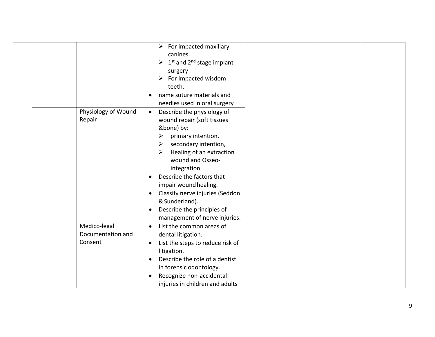|                     | $\triangleright$ For impacted maxillary                            |
|---------------------|--------------------------------------------------------------------|
|                     | canines.                                                           |
|                     | $\triangleright$ 1 <sup>st</sup> and 2 <sup>nd</sup> stage implant |
|                     | surgery                                                            |
|                     | For impacted wisdom<br>➤                                           |
|                     | teeth.                                                             |
|                     | name suture materials and                                          |
|                     | needles used in oral surgery                                       |
| Physiology of Wound | Describe the physiology of<br>$\bullet$                            |
| Repair              | wound repair (soft tissues                                         |
|                     | &bone) by:                                                         |
|                     | ≻<br>primary intention,                                            |
|                     | secondary intention,<br>➤                                          |
|                     | $\blacktriangleright$<br>Healing of an extraction                  |
|                     | wound and Osseo-                                                   |
|                     | integration.                                                       |
|                     | Describe the factors that                                          |
|                     | impair wound healing.                                              |
|                     | Classify nerve injuries (Seddon                                    |
|                     | & Sunderland).                                                     |
|                     | Describe the principles of                                         |
|                     | management of nerve injuries.                                      |
| Medico-legal        | List the common areas of<br>$\bullet$                              |
| Documentation and   | dental litigation.                                                 |
| Consent             | List the steps to reduce risk of<br>$\bullet$                      |
|                     | litigation.                                                        |
|                     | Describe the role of a dentist<br>$\bullet$                        |
|                     | in forensic odontology.                                            |
|                     | Recognize non-accidental                                           |
|                     | injuries in children and adults                                    |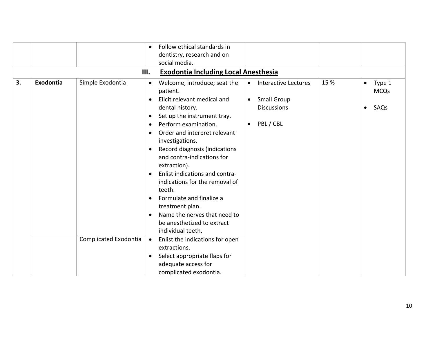|    |           |                       | $\bullet$<br>III. | Follow ethical standards in<br>dentistry, research and on<br>social media.       |           |                                          |      |           |                       |
|----|-----------|-----------------------|-------------------|----------------------------------------------------------------------------------|-----------|------------------------------------------|------|-----------|-----------------------|
|    |           |                       |                   | <b>Exodontia Including Local Anesthesia</b>                                      |           |                                          |      |           |                       |
| 3. | Exodontia | Simple Exodontia      | $\bullet$         | Welcome, introduce; seat the<br>patient.                                         | $\bullet$ | Interactive Lectures                     | 15 % | $\bullet$ | Type 1<br><b>MCQs</b> |
|    |           |                       | $\bullet$         | Elicit relevant medical and                                                      | $\bullet$ | <b>Small Group</b><br><b>Discussions</b> |      |           |                       |
|    |           |                       |                   | dental history.<br>Set up the instrument tray.                                   |           |                                          |      | $\bullet$ | SAQs                  |
|    |           |                       |                   | Perform examination.                                                             | $\bullet$ | PBL / CBL                                |      |           |                       |
|    |           |                       |                   | Order and interpret relevant<br>investigations.                                  |           |                                          |      |           |                       |
|    |           |                       |                   | Record diagnosis (indications<br>and contra-indications for                      |           |                                          |      |           |                       |
|    |           |                       |                   | extraction).<br>Enlist indications and contra-<br>indications for the removal of |           |                                          |      |           |                       |
|    |           |                       |                   | teeth.                                                                           |           |                                          |      |           |                       |
|    |           |                       |                   | Formulate and finalize a<br>treatment plan.                                      |           |                                          |      |           |                       |
|    |           |                       |                   | Name the nerves that need to                                                     |           |                                          |      |           |                       |
|    |           |                       |                   | be anesthetized to extract<br>individual teeth.                                  |           |                                          |      |           |                       |
|    |           | Complicated Exodontia | $\bullet$         | Enlist the indications for open                                                  |           |                                          |      |           |                       |
|    |           |                       |                   | extractions.                                                                     |           |                                          |      |           |                       |
|    |           |                       |                   | Select appropriate flaps for                                                     |           |                                          |      |           |                       |
|    |           |                       |                   | adequate access for                                                              |           |                                          |      |           |                       |
|    |           |                       |                   | complicated exodontia.                                                           |           |                                          |      |           |                       |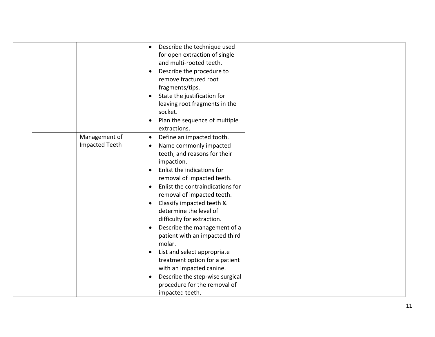|                       | Describe the technique used<br>$\bullet$      |
|-----------------------|-----------------------------------------------|
|                       | for open extraction of single                 |
|                       | and multi-rooted teeth.                       |
|                       | Describe the procedure to                     |
|                       | remove fractured root                         |
|                       | fragments/tips.                               |
|                       | State the justification for                   |
|                       | leaving root fragments in the                 |
|                       | socket.                                       |
|                       | Plan the sequence of multiple                 |
|                       | extractions.                                  |
| Management of         | Define an impacted tooth.<br>$\bullet$        |
| <b>Impacted Teeth</b> | Name commonly impacted<br>$\bullet$           |
|                       | teeth, and reasons for their                  |
|                       | impaction.                                    |
|                       | Enlist the indications for                    |
|                       | removal of impacted teeth.                    |
|                       | Enlist the contraindications for<br>$\bullet$ |
|                       | removal of impacted teeth.                    |
|                       | Classify impacted teeth &<br>$\bullet$        |
|                       | determine the level of                        |
|                       | difficulty for extraction.                    |
|                       | Describe the management of a<br>$\bullet$     |
|                       | patient with an impacted third                |
|                       | molar.                                        |
|                       | List and select appropriate<br>$\bullet$      |
|                       | treatment option for a patient                |
|                       | with an impacted canine.                      |
|                       | Describe the step-wise surgical<br>$\bullet$  |
|                       | procedure for the removal of                  |
|                       | impacted teeth.                               |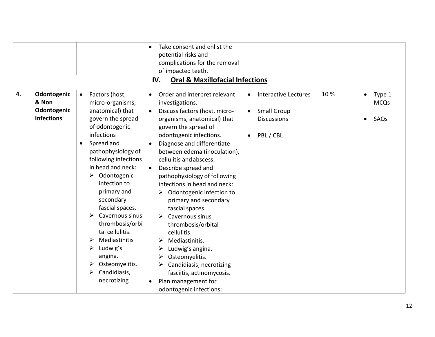|    |                                                          |                                                                                                                                                                                                                                                                                                                                                                                                                                                                              | Take consent and enlist the<br>$\bullet$<br>potential risks and<br>complications for the removal<br>of impacted teeth.<br><b>Oral &amp; Maxillofacial Infections</b><br>IV.                                                                                                                                                                                                                                                                                                                                                                                                                                                                                                                                                |                                     |                                                                                      |     |                                                         |
|----|----------------------------------------------------------|------------------------------------------------------------------------------------------------------------------------------------------------------------------------------------------------------------------------------------------------------------------------------------------------------------------------------------------------------------------------------------------------------------------------------------------------------------------------------|----------------------------------------------------------------------------------------------------------------------------------------------------------------------------------------------------------------------------------------------------------------------------------------------------------------------------------------------------------------------------------------------------------------------------------------------------------------------------------------------------------------------------------------------------------------------------------------------------------------------------------------------------------------------------------------------------------------------------|-------------------------------------|--------------------------------------------------------------------------------------|-----|---------------------------------------------------------|
| 4. | Odontogenic<br>& Non<br>Odontogenic<br><b>Infections</b> | Factors (host,<br>$\bullet$<br>micro-organisms,<br>anatomical) that<br>govern the spread<br>of odontogenic<br>infections<br>Spread and<br>pathophysiology of<br>following infections<br>in head and neck:<br>Odontogenic<br>$\blacktriangleright$<br>infection to<br>primary and<br>secondary<br>fascial spaces.<br>Cavernous sinus<br>thrombosis/orbi<br>tal cellulitis.<br>Mediastinitis<br>➤<br>Ludwig's<br>angina.<br>Osteomyelitis.<br>Candidiasis,<br>➤<br>necrotizing | Order and interpret relevant<br>$\bullet$<br>investigations.<br>Discuss factors (host, micro-<br>$\bullet$<br>organisms, anatomical) that<br>govern the spread of<br>odontogenic infections.<br>Diagnose and differentiate<br>between edema (inoculation),<br>cellulitis and abscess.<br>Describe spread and<br>$\bullet$<br>pathophysiology of following<br>infections in head and neck:<br>Odontogenic infection to<br>primary and secondary<br>fascial spaces.<br>Cavernous sinus<br>$\blacktriangleright$<br>thrombosis/orbital<br>cellulitis.<br>Mediastinitis.<br>Ludwig's angina.<br>Osteomyelitis.<br>➤<br>Candidiasis, necrotizing<br>fasciitis, actinomycosis.<br>Plan management for<br>odontogenic infections: | $\bullet$<br>$\bullet$<br>$\bullet$ | <b>Interactive Lectures</b><br><b>Small Group</b><br><b>Discussions</b><br>PBL / CBL | 10% | Type 1<br>$\bullet$<br><b>MCQs</b><br>SAQs<br>$\bullet$ |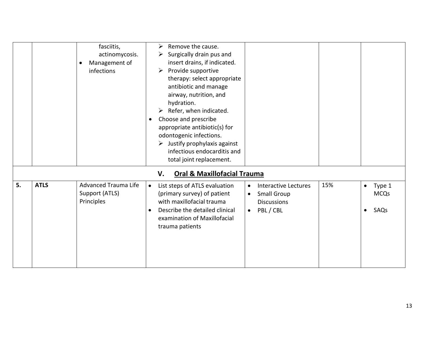|    |             | fasciitis,<br>actinomycosis.<br>Management of<br>infections | Remove the cause.<br>➤<br>Surgically drain pus and<br>➤<br>insert drains, if indicated.<br>Provide supportive<br>➤<br>therapy: select appropriate<br>antibiotic and manage<br>airway, nutrition, and<br>hydration.<br>Refer, when indicated.<br>Choose and prescribe<br>٠<br>appropriate antibiotic(s) for<br>odontogenic infections.<br>$\triangleright$ Justify prophylaxis against<br>infectious endocarditis and<br>total joint replacement. |                                                                                                                             |     |                                                         |
|----|-------------|-------------------------------------------------------------|--------------------------------------------------------------------------------------------------------------------------------------------------------------------------------------------------------------------------------------------------------------------------------------------------------------------------------------------------------------------------------------------------------------------------------------------------|-----------------------------------------------------------------------------------------------------------------------------|-----|---------------------------------------------------------|
|    |             |                                                             | <b>Oral &amp; Maxillofacial Trauma</b><br>V.                                                                                                                                                                                                                                                                                                                                                                                                     |                                                                                                                             |     |                                                         |
| 5. | <b>ATLS</b> | <b>Advanced Trauma Life</b><br>Support (ATLS)<br>Principles | List steps of ATLS evaluation<br>$\bullet$<br>(primary survey) of patient<br>with maxillofacial trauma<br>Describe the detailed clinical<br>$\bullet$<br>examination of Maxillofacial<br>trauma patients                                                                                                                                                                                                                                         | <b>Interactive Lectures</b><br>$\bullet$<br><b>Small Group</b><br>$\bullet$<br><b>Discussions</b><br>PBL / CBL<br>$\bullet$ | 15% | Type 1<br>$\bullet$<br><b>MCQs</b><br>SAQs<br>$\bullet$ |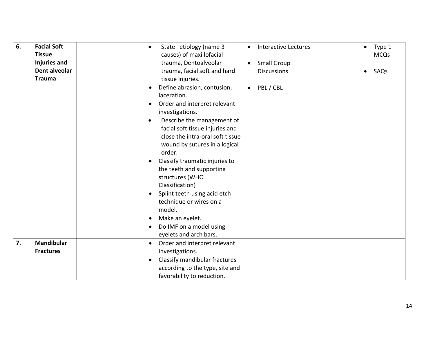| 6. | <b>Facial Soft</b>  | $\bullet$ | State etiology (name 3           | $\bullet$ | Interactive Lectures | $\bullet$ | Type 1      |
|----|---------------------|-----------|----------------------------------|-----------|----------------------|-----------|-------------|
|    | <b>Tissue</b>       |           | causes) of maxillofacial         |           |                      |           | <b>MCQs</b> |
|    | <b>Injuries and</b> |           | trauma, Dentoalveolar            | $\bullet$ | <b>Small Group</b>   |           |             |
|    | Dent alveolar       |           | trauma, facial soft and hard     |           | <b>Discussions</b>   | $\bullet$ | SAQs        |
|    | <b>Trauma</b>       |           | tissue injuries.                 |           |                      |           |             |
|    |                     |           | Define abrasion, contusion,      | $\bullet$ | PBL / CBL            |           |             |
|    |                     |           | laceration.                      |           |                      |           |             |
|    |                     | $\bullet$ | Order and interpret relevant     |           |                      |           |             |
|    |                     |           | investigations.                  |           |                      |           |             |
|    |                     | $\bullet$ | Describe the management of       |           |                      |           |             |
|    |                     |           | facial soft tissue injuries and  |           |                      |           |             |
|    |                     |           | close the intra-oral soft tissue |           |                      |           |             |
|    |                     |           | wound by sutures in a logical    |           |                      |           |             |
|    |                     |           | order.                           |           |                      |           |             |
|    |                     | $\bullet$ | Classify traumatic injuries to   |           |                      |           |             |
|    |                     |           | the teeth and supporting         |           |                      |           |             |
|    |                     |           | structures (WHO                  |           |                      |           |             |
|    |                     |           | Classification)                  |           |                      |           |             |
|    |                     |           | Splint teeth using acid etch     |           |                      |           |             |
|    |                     |           | technique or wires on a          |           |                      |           |             |
|    |                     |           | model.                           |           |                      |           |             |
|    |                     |           | Make an eyelet.                  |           |                      |           |             |
|    |                     |           | Do IMF on a model using          |           |                      |           |             |
|    |                     |           | eyelets and arch bars.           |           |                      |           |             |
| 7. | <b>Mandibular</b>   | $\bullet$ | Order and interpret relevant     |           |                      |           |             |
|    | <b>Fractures</b>    |           | investigations.                  |           |                      |           |             |
|    |                     | $\bullet$ | Classify mandibular fractures    |           |                      |           |             |
|    |                     |           | according to the type, site and  |           |                      |           |             |
|    |                     |           | favorability to reduction.       |           |                      |           |             |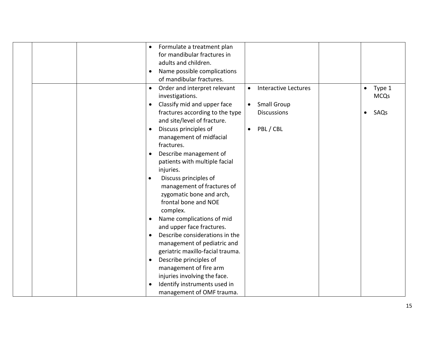|  | $\bullet$ | Formulate a treatment plan       |           |                             |           |             |
|--|-----------|----------------------------------|-----------|-----------------------------|-----------|-------------|
|  |           | for mandibular fractures in      |           |                             |           |             |
|  |           | adults and children.             |           |                             |           |             |
|  | $\bullet$ | Name possible complications      |           |                             |           |             |
|  |           | of mandibular fractures.         |           |                             |           |             |
|  | $\bullet$ | Order and interpret relevant     | $\bullet$ | <b>Interactive Lectures</b> | $\bullet$ | Type 1      |
|  |           | investigations.                  |           |                             |           | <b>MCQs</b> |
|  | $\bullet$ | Classify mid and upper face      |           | <b>Small Group</b>          |           |             |
|  |           | fractures according to the type  |           | <b>Discussions</b>          | $\bullet$ | SAQs        |
|  |           | and site/level of fracture.      |           |                             |           |             |
|  | $\bullet$ | Discuss principles of            | $\bullet$ | PBL / CBL                   |           |             |
|  |           | management of midfacial          |           |                             |           |             |
|  |           | fractures.                       |           |                             |           |             |
|  |           | Describe management of           |           |                             |           |             |
|  |           | patients with multiple facial    |           |                             |           |             |
|  |           | injuries.                        |           |                             |           |             |
|  | $\bullet$ | Discuss principles of            |           |                             |           |             |
|  |           | management of fractures of       |           |                             |           |             |
|  |           | zygomatic bone and arch,         |           |                             |           |             |
|  |           | frontal bone and NOE             |           |                             |           |             |
|  |           | complex.                         |           |                             |           |             |
|  |           | Name complications of mid        |           |                             |           |             |
|  |           | and upper face fractures.        |           |                             |           |             |
|  | $\bullet$ | Describe considerations in the   |           |                             |           |             |
|  |           | management of pediatric and      |           |                             |           |             |
|  |           | geriatric maxillo-facial trauma. |           |                             |           |             |
|  | $\bullet$ | Describe principles of           |           |                             |           |             |
|  |           | management of fire arm           |           |                             |           |             |
|  |           | injuries involving the face.     |           |                             |           |             |
|  |           | Identify instruments used in     |           |                             |           |             |
|  |           | management of OMF trauma.        |           |                             |           |             |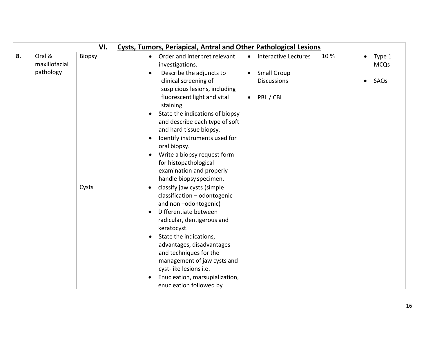| 8.<br>Oral &<br>10%<br><b>Biopsy</b><br>Order and interpret relevant<br><b>Interactive Lectures</b><br>$\bullet$<br>$\bullet$<br>$\bullet$<br>maxillofacial<br>investigations.<br>pathology<br>Describe the adjuncts to<br><b>Small Group</b><br>$\bullet$<br>$\bullet$<br>clinical screening of<br><b>Discussions</b><br>$\bullet$<br>suspicious lesions, including<br>PBL / CBL<br>fluorescent light and vital<br>$\bullet$<br>staining.<br>State the indications of biopsy<br>$\bullet$<br>and describe each type of soft<br>and hard tissue biopsy.<br>Identify instruments used for<br>oral biopsy.<br>Write a biopsy request form<br>for histopathological<br>examination and properly<br>handle biopsy specimen.<br>Cysts<br>classify jaw cysts (simple<br>$\bullet$<br>classification - odontogenic<br>and non-odontogenic)<br>Differentiate between<br>$\bullet$<br>radicular, dentigerous and<br>keratocyst.<br>State the indications,<br>$\bullet$<br>advantages, disadvantages<br>and techniques for the | VI.<br><b>Cysts, Tumors, Periapical, Antral and Other Pathological Lesions</b> |  |  |  |  |                             |  |  |  |                       |
|----------------------------------------------------------------------------------------------------------------------------------------------------------------------------------------------------------------------------------------------------------------------------------------------------------------------------------------------------------------------------------------------------------------------------------------------------------------------------------------------------------------------------------------------------------------------------------------------------------------------------------------------------------------------------------------------------------------------------------------------------------------------------------------------------------------------------------------------------------------------------------------------------------------------------------------------------------------------------------------------------------------------|--------------------------------------------------------------------------------|--|--|--|--|-----------------------------|--|--|--|-----------------------|
|                                                                                                                                                                                                                                                                                                                                                                                                                                                                                                                                                                                                                                                                                                                                                                                                                                                                                                                                                                                                                      |                                                                                |  |  |  |  |                             |  |  |  | Type 1<br><b>MCQs</b> |
|                                                                                                                                                                                                                                                                                                                                                                                                                                                                                                                                                                                                                                                                                                                                                                                                                                                                                                                                                                                                                      |                                                                                |  |  |  |  |                             |  |  |  | SAQs                  |
|                                                                                                                                                                                                                                                                                                                                                                                                                                                                                                                                                                                                                                                                                                                                                                                                                                                                                                                                                                                                                      |                                                                                |  |  |  |  |                             |  |  |  |                       |
|                                                                                                                                                                                                                                                                                                                                                                                                                                                                                                                                                                                                                                                                                                                                                                                                                                                                                                                                                                                                                      |                                                                                |  |  |  |  |                             |  |  |  |                       |
| cyst-like lesions i.e.<br>Enucleation, marsupialization,<br>enucleation followed by                                                                                                                                                                                                                                                                                                                                                                                                                                                                                                                                                                                                                                                                                                                                                                                                                                                                                                                                  |                                                                                |  |  |  |  | management of jaw cysts and |  |  |  |                       |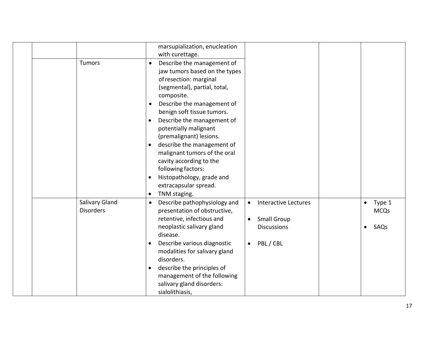|                                    | marsupialization, enucleation<br>with curettage.                                                                                                                                                                                                                                                                                                                                                                                                                                                                                                     |                                                                                                                             |                                                         |
|------------------------------------|------------------------------------------------------------------------------------------------------------------------------------------------------------------------------------------------------------------------------------------------------------------------------------------------------------------------------------------------------------------------------------------------------------------------------------------------------------------------------------------------------------------------------------------------------|-----------------------------------------------------------------------------------------------------------------------------|---------------------------------------------------------|
| <b>Tumors</b>                      | Describe the management of<br>$\bullet$<br>jaw tumors based on the types<br>of resection: marginal<br>(segmental), partial, total,<br>composite.<br>Describe the management of<br>$\bullet$<br>benign soft tissue tumors.<br>Describe the management of<br>$\bullet$<br>potentially malignant<br>(premalignant) lesions.<br>describe the management of<br>$\bullet$<br>malignant tumors of the oral<br>cavity according to the<br>following factors:<br>Histopathology, grade and<br>$\bullet$<br>extracapsular spread.<br>TNM staging.<br>$\bullet$ |                                                                                                                             |                                                         |
| Salivary Gland<br><b>Disorders</b> | Describe pathophysiology and<br>$\bullet$<br>presentation of obstructive,<br>retentive, infectious and<br>neoplastic salivary gland<br>disease.<br>Describe various diagnostic<br>$\bullet$<br>modalities for salivary gland<br>disorders.<br>describe the principles of<br>$\bullet$<br>management of the following<br>salivary gland disorders:<br>sialolithiasis,                                                                                                                                                                                 | <b>Interactive Lectures</b><br>$\bullet$<br><b>Small Group</b><br>$\bullet$<br><b>Discussions</b><br>PBL / CBL<br>$\bullet$ | Type 1<br>$\bullet$<br><b>MCQs</b><br>SAQs<br>$\bullet$ |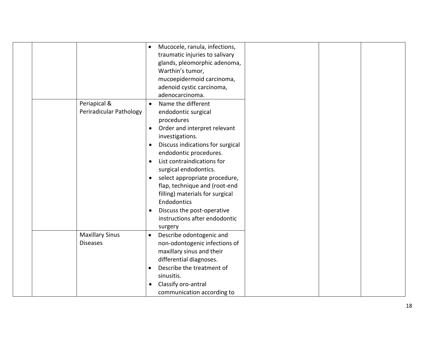|                                           | Mucocele, ranula, infections,<br>$\bullet$<br>traumatic injuries to salivary<br>glands, pleomorphic adenoma,<br>Warthin's tumor,<br>mucoepidermoid carcinoma,<br>adenoid cystic carcinoma,<br>adenocarcinoma.                                                                                                                                                                                                                                                        |
|-------------------------------------------|----------------------------------------------------------------------------------------------------------------------------------------------------------------------------------------------------------------------------------------------------------------------------------------------------------------------------------------------------------------------------------------------------------------------------------------------------------------------|
| Periapical &<br>Periradicular Pathology   | Name the different<br>$\bullet$<br>endodontic surgical<br>procedures<br>Order and interpret relevant<br>$\bullet$<br>investigations.<br>Discuss indications for surgical<br>endodontic procedures.<br>List contraindications for<br>surgical endodontics.<br>select appropriate procedure,<br>flap, technique and (root-end<br>filling) materials for surgical<br>Endodontics<br>Discuss the post-operative<br>$\bullet$<br>instructions after endodontic<br>surgery |
| <b>Maxillary Sinus</b><br><b>Diseases</b> | Describe odontogenic and<br>$\bullet$<br>non-odontogenic infections of<br>maxillary sinus and their<br>differential diagnoses.<br>Describe the treatment of<br>sinusitis.<br>Classify oro-antral<br>communication according to                                                                                                                                                                                                                                       |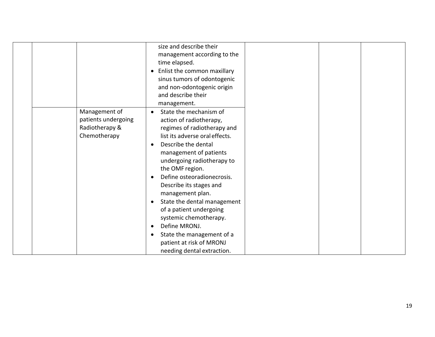|                     | size and describe their<br>management according to the |  |
|---------------------|--------------------------------------------------------|--|
|                     | time elapsed.                                          |  |
|                     | Enlist the common maxillary                            |  |
|                     | $\bullet$                                              |  |
|                     | sinus tumors of odontogenic                            |  |
|                     | and non-odontogenic origin                             |  |
|                     | and describe their                                     |  |
|                     | management.                                            |  |
| Management of       | State the mechanism of<br>$\bullet$                    |  |
| patients undergoing | action of radiotherapy,                                |  |
| Radiotherapy &      | regimes of radiotherapy and                            |  |
| Chemotherapy        | list its adverse oral effects.                         |  |
|                     | Describe the dental<br>$\bullet$                       |  |
|                     | management of patients                                 |  |
|                     | undergoing radiotherapy to                             |  |
|                     | the OMF region.                                        |  |
|                     | Define osteoradionecrosis.<br>$\bullet$                |  |
|                     | Describe its stages and                                |  |
|                     | management plan.                                       |  |
|                     | State the dental management<br>$\bullet$               |  |
|                     | of a patient undergoing                                |  |
|                     | systemic chemotherapy.                                 |  |
|                     | Define MRONJ.<br>$\bullet$                             |  |
|                     | State the management of a<br>$\bullet$                 |  |
|                     | patient at risk of MRONJ                               |  |
|                     | needing dental extraction.                             |  |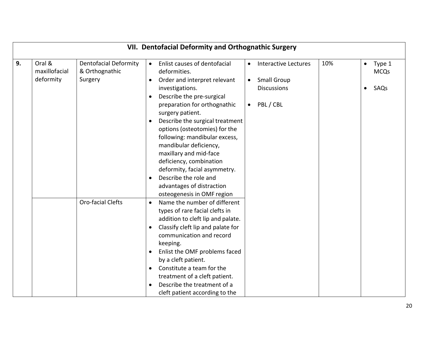|    | VII. Dentofacial Deformity and Orthognathic Surgery |                                                           |                                                                                                                                                                                                                                                                                                                                                                                      |                                                         |  |  |  |  |  |
|----|-----------------------------------------------------|-----------------------------------------------------------|--------------------------------------------------------------------------------------------------------------------------------------------------------------------------------------------------------------------------------------------------------------------------------------------------------------------------------------------------------------------------------------|---------------------------------------------------------|--|--|--|--|--|
| 9. | Oral &<br>maxillofacial<br>deformity                | <b>Dentofacial Deformity</b><br>& Orthognathic<br>Surgery | Enlist causes of dentofacial<br><b>Interactive Lectures</b><br>10%<br>$\bullet$<br>$\bullet$<br>deformities.<br>Order and interpret relevant<br><b>Small Group</b><br>$\bullet$<br>$\bullet$<br><b>Discussions</b><br>investigations.<br>Describe the pre-surgical<br>PBL / CBL<br>preparation for orthognathic<br>$\bullet$<br>surgery patient.                                     | Type 1<br>$\bullet$<br><b>MCQs</b><br>SAQs<br>$\bullet$ |  |  |  |  |  |
|    |                                                     |                                                           | Describe the surgical treatment<br>options (osteotomies) for the<br>following: mandibular excess,<br>mandibular deficiency,<br>maxillary and mid-face<br>deficiency, combination<br>deformity, facial asymmetry.<br>Describe the role and<br>advantages of distraction<br>osteogenesis in OMF region                                                                                 |                                                         |  |  |  |  |  |
|    |                                                     | <b>Oro-facial Clefts</b>                                  | Name the number of different<br>$\bullet$<br>types of rare facial clefts in<br>addition to cleft lip and palate.<br>Classify cleft lip and palate for<br>communication and record<br>keeping.<br>Enlist the OMF problems faced<br>by a cleft patient.<br>Constitute a team for the<br>treatment of a cleft patient.<br>Describe the treatment of a<br>cleft patient according to the |                                                         |  |  |  |  |  |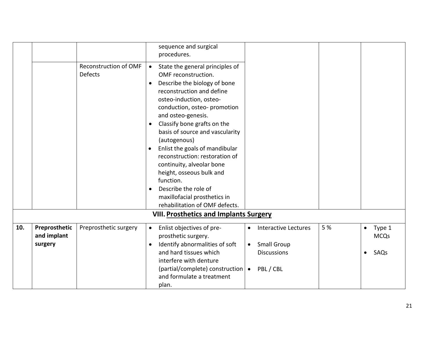|                                         |                                  | sequence and surgical                                                                                                                                                                                                                                                                                                                                                                                                                                                                                                    |                                             |                                                                                      |                                                                            |                        |                               |
|-----------------------------------------|----------------------------------|--------------------------------------------------------------------------------------------------------------------------------------------------------------------------------------------------------------------------------------------------------------------------------------------------------------------------------------------------------------------------------------------------------------------------------------------------------------------------------------------------------------------------|---------------------------------------------|--------------------------------------------------------------------------------------|----------------------------------------------------------------------------|------------------------|-------------------------------|
|                                         |                                  |                                                                                                                                                                                                                                                                                                                                                                                                                                                                                                                          |                                             |                                                                                      |                                                                            |                        |                               |
|                                         | Reconstruction of OMF<br>Defects | State the general principles of<br>$\bullet$<br>OMF reconstruction.<br>Describe the biology of bone<br>$\bullet$<br>reconstruction and define<br>osteo-induction, osteo-<br>conduction, osteo-promotion<br>and osteo-genesis.<br>Classify bone grafts on the<br>$\bullet$<br>basis of source and vascularity<br>(autogenous)<br>Enlist the goals of mandibular<br>$\bullet$<br>reconstruction: restoration of<br>continuity, alveolar bone<br>height, osseous bulk and<br>function.<br>Describe the role of<br>$\bullet$ |                                             |                                                                                      |                                                                            |                        |                               |
|                                         |                                  | rehabilitation of OMF defects.                                                                                                                                                                                                                                                                                                                                                                                                                                                                                           |                                             |                                                                                      |                                                                            |                        |                               |
|                                         |                                  |                                                                                                                                                                                                                                                                                                                                                                                                                                                                                                                          |                                             |                                                                                      |                                                                            |                        |                               |
| Preprosthetic<br>and implant<br>surgery | Preprosthetic surgery            | Enlist objectives of pre-<br>$\bullet$<br>prosthetic surgery.<br>Identify abnormalities of soft<br>$\bullet$<br>and hard tissues which<br>interfere with denture                                                                                                                                                                                                                                                                                                                                                         | $\bullet$<br>$\bullet$<br>$\bullet$         | <b>Interactive Lectures</b><br><b>Small Group</b><br><b>Discussions</b><br>PBL / CBL | 5 %                                                                        | $\bullet$<br>$\bullet$ | Type 1<br><b>MCQs</b><br>SAQs |
|                                         |                                  |                                                                                                                                                                                                                                                                                                                                                                                                                                                                                                                          | procedures.<br>maxillofacial prosthetics in | (partial/complete) construction                                                      | <b>VIII. Prosthetics and Implants Surgery</b><br>and formulate a treatment |                        |                               |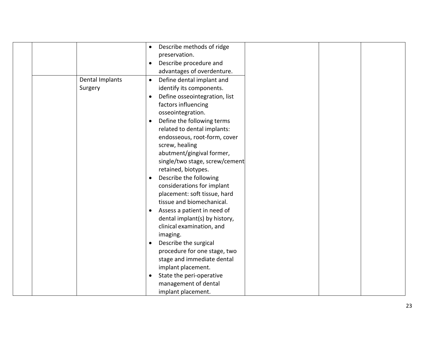|                 | $\bullet$ | Describe methods of ridge      |  |
|-----------------|-----------|--------------------------------|--|
|                 |           | preservation.                  |  |
|                 | $\bullet$ | Describe procedure and         |  |
|                 |           | advantages of overdenture.     |  |
| Dental Implants | $\bullet$ | Define dental implant and      |  |
| Surgery         |           | identify its components.       |  |
|                 |           | Define osseointegration, list  |  |
|                 |           | factors influencing            |  |
|                 |           | osseointegration.              |  |
|                 |           | Define the following terms     |  |
|                 |           | related to dental implants:    |  |
|                 |           | endosseous, root-form, cover   |  |
|                 |           | screw, healing                 |  |
|                 |           | abutment/gingival former,      |  |
|                 |           | single/two stage, screw/cement |  |
|                 |           | retained, biotypes.            |  |
|                 |           | Describe the following         |  |
|                 |           | considerations for implant     |  |
|                 |           | placement: soft tissue, hard   |  |
|                 |           | tissue and biomechanical.      |  |
|                 | $\bullet$ | Assess a patient in need of    |  |
|                 |           | dental implant(s) by history,  |  |
|                 |           | clinical examination, and      |  |
|                 |           | imaging.                       |  |
|                 |           | Describe the surgical          |  |
|                 |           | procedure for one stage, two   |  |
|                 |           | stage and immediate dental     |  |
|                 |           | implant placement.             |  |
|                 | $\bullet$ | State the peri-operative       |  |
|                 |           | management of dental           |  |
|                 |           | implant placement.             |  |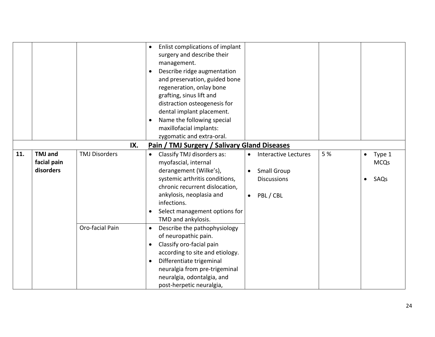|     |                                            |                                         |                                     | Enlist complications of implant<br>surgery and describe their<br>management.<br>Describe ridge augmentation<br>and preservation, guided bone<br>regeneration, onlay bone<br>grafting, sinus lift and<br>distraction osteogenesis for<br>dental implant placement.<br>Name the following special<br>maxillofacial implants:<br>zygomatic and extra-oral. |                                     |                                                                                      |     |           |                               |
|-----|--------------------------------------------|-----------------------------------------|-------------------------------------|---------------------------------------------------------------------------------------------------------------------------------------------------------------------------------------------------------------------------------------------------------------------------------------------------------------------------------------------------------|-------------------------------------|--------------------------------------------------------------------------------------|-----|-----------|-------------------------------|
|     |                                            | IX.                                     |                                     | Pain / TMJ Surgery / Salivary Gland Diseases                                                                                                                                                                                                                                                                                                            |                                     |                                                                                      |     |           |                               |
| 11. | <b>TMJ</b> and<br>facial pain<br>disorders | <b>TMJ Disorders</b><br>Oro-facial Pain | $\bullet$<br>$\bullet$<br>$\bullet$ | Classify TMJ disorders as:<br>myofascial, internal<br>derangement (Wilke's),<br>systemic arthritis conditions,<br>chronic recurrent dislocation,<br>ankylosis, neoplasia and<br>infections.<br>Select management options for<br>TMD and ankylosis.<br>Describe the pathophysiology<br>of neuropathic pain.<br>Classify oro-facial pain                  | $\bullet$<br>$\bullet$<br>$\bullet$ | <b>Interactive Lectures</b><br><b>Small Group</b><br><b>Discussions</b><br>PBL / CBL | 5 % | $\bullet$ | Type 1<br><b>MCQs</b><br>SAQs |
|     |                                            |                                         |                                     | according to site and etiology.<br>Differentiate trigeminal<br>neuralgia from pre-trigeminal<br>neuralgia, odontalgia, and<br>post-herpetic neuralgia,                                                                                                                                                                                                  |                                     |                                                                                      |     |           |                               |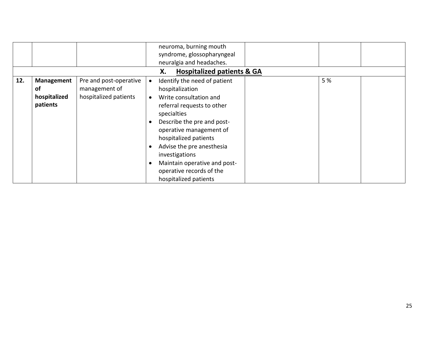|     |              |                        | neuroma, burning mouth                    |                                       |     |  |  |  |
|-----|--------------|------------------------|-------------------------------------------|---------------------------------------|-----|--|--|--|
|     |              |                        | syndrome, glossopharyngeal                |                                       |     |  |  |  |
|     |              |                        | neuralgia and headaches.                  |                                       |     |  |  |  |
|     |              |                        | Х.                                        | <b>Hospitalized patients &amp; GA</b> |     |  |  |  |
| 12. | Management   | Pre and post-operative | Identify the need of patient<br>$\bullet$ |                                       | 5 % |  |  |  |
|     | of           | management of          | hospitalization                           |                                       |     |  |  |  |
|     | hospitalized | hospitalized patients  | Write consultation and<br>$\bullet$       |                                       |     |  |  |  |
|     | patients     |                        | referral requests to other                |                                       |     |  |  |  |
|     |              |                        | specialties                               |                                       |     |  |  |  |
|     |              |                        | Describe the pre and post-                |                                       |     |  |  |  |
|     |              |                        | operative management of                   |                                       |     |  |  |  |
|     |              |                        | hospitalized patients                     |                                       |     |  |  |  |
|     |              |                        | Advise the pre anesthesia                 |                                       |     |  |  |  |
|     |              |                        | investigations                            |                                       |     |  |  |  |
|     |              |                        | Maintain operative and post-              |                                       |     |  |  |  |
|     |              |                        | operative records of the                  |                                       |     |  |  |  |
|     |              |                        | hospitalized patients                     |                                       |     |  |  |  |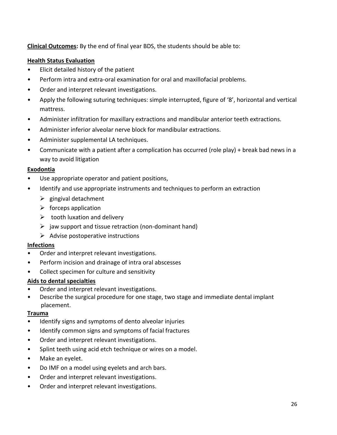**Clinical Outcomes:** By the end of final year BDS, the students should be able to:

#### **Health Status Evaluation**

- Elicit detailed history of the patient
- Perform intra and extra-oral examination for oral and maxillofacial problems.
- Order and interpret relevant investigations.
- Apply the following suturing techniques: simple interrupted, figure of '8', horizontal and vertical mattress.
- Administer infiltration for maxillary extractions and mandibular anterior teeth extractions.
- Administer inferior alveolar nerve block for mandibular extractions.
- Administer supplemental LA techniques.
- Communicate with a patient after a complication has occurred (role play) + break bad news in a way to avoid litigation

#### **Exodontia**

- Use appropriate operator and patient positions,
- Identify and use appropriate instruments and techniques to perform an extraction
	- $\triangleright$  gingival detachment
	- $\triangleright$  forceps application
	- $\triangleright$  tooth luxation and delivery
	- $\triangleright$  jaw support and tissue retraction (non-dominant hand)
	- $\triangleright$  Advise postoperative instructions

#### **Infections**

- Order and interpret relevant investigations.
- Perform incision and drainage of intra oral abscesses
- Collect specimen for culture and sensitivity

#### **Aids to dental specialties**

- Order and interpret relevant investigations.
- Describe the surgical procedure for one stage, two stage and immediate dental implant placement.

#### **Trauma**

- Identify signs and symptoms of dento alveolar injuries
- Identify common signs and symptoms of facial fractures
- Order and interpret relevant investigations.
- Splint teeth using acid etch technique or wires on a model.
- Make an eyelet.
- Do IMF on a model using eyelets and arch bars.
- Order and interpret relevant investigations.
- Order and interpret relevant investigations.